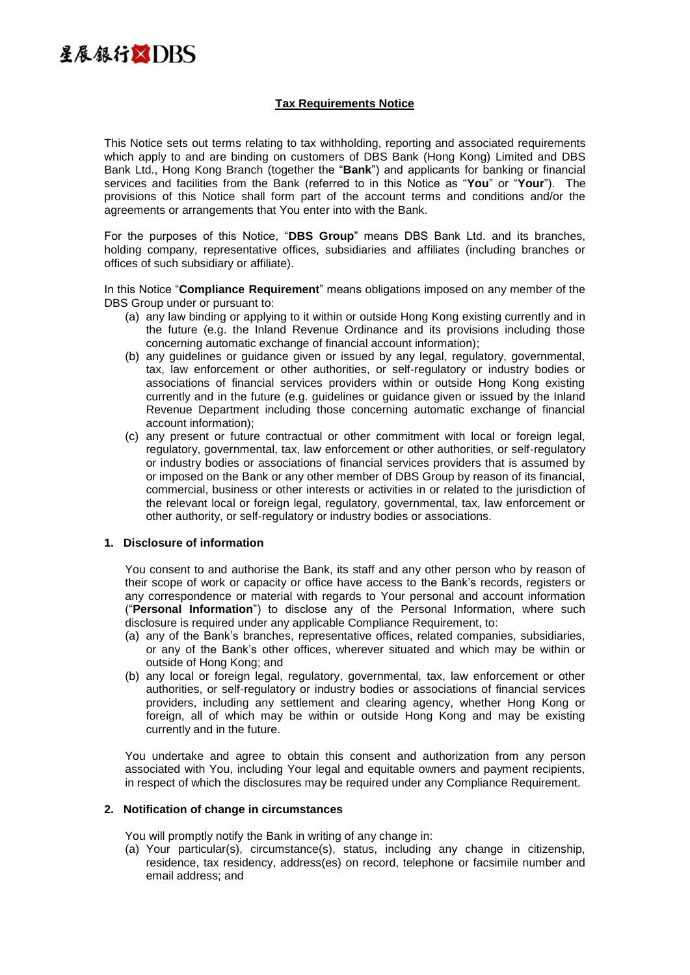

# **Tax Requirements Notice**

This Notice sets out terms relating to tax withholding, reporting and associated requirements which apply to and are binding on customers of DBS Bank (Hong Kong) Limited and DBS Bank Ltd., Hong Kong Branch (together the "**Bank**") and applicants for banking or financial services and facilities from the Bank (referred to in this Notice as "**You**" or "**Your**"). The provisions of this Notice shall form part of the account terms and conditions and/or the agreements or arrangements that You enter into with the Bank.

For the purposes of this Notice, "**DBS Group**" means DBS Bank Ltd. and its branches, holding company, representative offices, subsidiaries and affiliates (including branches or offices of such subsidiary or affiliate).

In this Notice "**Compliance Requirement**" means obligations imposed on any member of the DBS Group under or pursuant to:

- (a) any law binding or applying to it within or outside Hong Kong existing currently and in the future (e.g. the Inland Revenue Ordinance and its provisions including those concerning automatic exchange of financial account information);
- (b) any guidelines or guidance given or issued by any legal, regulatory, governmental, tax, law enforcement or other authorities, or self-regulatory or industry bodies or associations of financial services providers within or outside Hong Kong existing currently and in the future (e.g. guidelines or guidance given or issued by the Inland Revenue Department including those concerning automatic exchange of financial account information);
- (c) any present or future contractual or other commitment with local or foreign legal, regulatory, governmental, tax, law enforcement or other authorities, or self-regulatory or industry bodies or associations of financial services providers that is assumed by or imposed on the Bank or any other member of DBS Group by reason of its financial, commercial, business or other interests or activities in or related to the jurisdiction of the relevant local or foreign legal, regulatory, governmental, tax, law enforcement or other authority, or self-regulatory or industry bodies or associations.

#### **1. Disclosure of information**

You consent to and authorise the Bank, its staff and any other person who by reason of their scope of work or capacity or office have access to the Bank's records, registers or any correspondence or material with regards to Your personal and account information ("**Personal Information**") to disclose any of the Personal Information, where such disclosure is required under any applicable Compliance Requirement, to:

- (a) any of the Bank's branches, representative offices, related companies, subsidiaries, or any of the Bank's other offices, wherever situated and which may be within or outside of Hong Kong; and
- (b) any local or foreign legal, regulatory, governmental, tax, law enforcement or other authorities, or self-regulatory or industry bodies or associations of financial services providers, including any settlement and clearing agency, whether Hong Kong or foreign, all of which may be within or outside Hong Kong and may be existing currently and in the future.

You undertake and agree to obtain this consent and authorization from any person associated with You, including Your legal and equitable owners and payment recipients, in respect of which the disclosures may be required under any Compliance Requirement.

#### **2. Notification of change in circumstances**

You will promptly notify the Bank in writing of any change in:

(a) Your particular(s), circumstance(s), status, including any change in citizenship, residence, tax residency, address(es) on record, telephone or facsimile number and email address; and